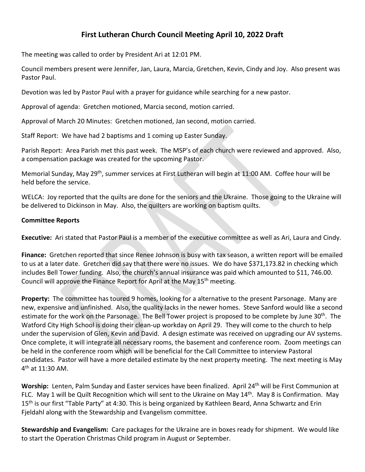# **First Lutheran Church Council Meeting April 10, 2022 Draft**

The meeting was called to order by President Ari at 12:01 PM.

Council members present were Jennifer, Jan, Laura, Marcia, Gretchen, Kevin, Cindy and Joy. Also present was Pastor Paul.

Devotion was led by Pastor Paul with a prayer for guidance while searching for a new pastor.

Approval of agenda: Gretchen motioned, Marcia second, motion carried.

Approval of March 20 Minutes: Gretchen motioned, Jan second, motion carried.

Staff Report: We have had 2 baptisms and 1 coming up Easter Sunday.

Parish Report: Area Parish met this past week. The MSP's of each church were reviewed and approved. Also, a compensation package was created for the upcoming Pastor.

Memorial Sunday, May 29<sup>th</sup>, summer services at First Lutheran will begin at 11:00 AM. Coffee hour will be held before the service.

WELCA: Joy reported that the quilts are done for the seniors and the Ukraine. Those going to the Ukraine will be delivered to Dickinson in May. Also, the quilters are working on baptism quilts.

### **Committee Reports**

**Executive:** Ari stated that Pastor Paul is a member of the executive committee as well as Ari, Laura and Cindy.

**Finance:** Gretchen reported that since Renee Johnson is busy with tax season, a written report will be emailed to us at a later date. Gretchen did say that there were no issues. We do have \$371,173.82 in checking which includes Bell Tower funding. Also, the church's annual insurance was paid which amounted to \$11, 746.00. Council will approve the Finance Report for April at the May 15<sup>th</sup> meeting.

**Property:** The committee has toured 9 homes, looking for a alternative to the present Parsonage. Many are new, expensive and unfinished. Also, the quality lacks in the newer homes. Steve Sanford would like a second estimate for the work on the Parsonage. The Bell Tower project is proposed to be complete by June  $30<sup>th</sup>$ . The Watford City High School is doing their clean-up workday on April 29. They will come to the church to help under the supervision of Glen, Kevin and David. A design estimate was received on upgrading our AV systems. Once complete, it will integrate all necessary rooms, the basement and conference room. Zoom meetings can be held in the conference room which will be beneficial for the Call Committee to interview Pastoral candidates. Pastor will have a more detailed estimate by the next property meeting. The next meeting is May  $4^{th}$  at 11:30 AM.

Worship: Lenten, Palm Sunday and Easter services have been finalized. April 24<sup>th</sup> will be First Communion at FLC. May 1 will be Quilt Recognition which will sent to the Ukraine on May 14<sup>th</sup>. May 8 is Confirmation. May 15<sup>th</sup> is our first "Table Party" at 4:30. This is being organized by Kathleen Beard, Anna Schwartz and Erin Fjeldahl along with the Stewardship and Evangelism committee.

**Stewardship and Evangelism:** Care packages for the Ukraine are in boxes ready for shipment. We would like to start the Operation Christmas Child program in August or September.